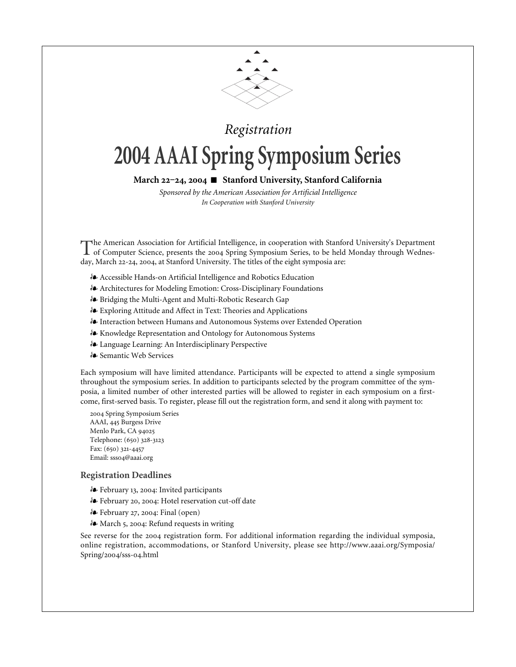

### *Registration*

# **2004 AAAI Spring Symposium Series**

#### March 22-24, 2004 ■ Stanford University, Stanford California

*Sponsored by the American Association for Artificial Intelligence In Cooperation with Stanford University*

The American Association for Artificial Intelligence, in cooperation with Stanford University's Department<br>of Computer Science, presents the 2004 Spring Symposium Series, to be held Monday through Wednesday, March 22-24, 2004, at Stanford University. The titles of the eight symposia are:

- Accessible Hands-on Artificial Intelligence and Robotics Education
- Architectures for Modeling Emotion: Cross-Disciplinary Foundations
- Bridging the Multi-Agent and Multi-Robotic Research Gap
- Exploring Attitude and Affect in Text: Theories and Applications
- Interaction between Humans and Autonomous Systems over Extended Operation
- Knowledge Representation and Ontology for Autonomous Systems
- Language Learning: An Interdisciplinary Perspective
- Semantic Web Services

Each symposium will have limited attendance. Participants will be expected to attend a single symposium throughout the symposium series. In addition to participants selected by the program committee of the symposia, a limited number of other interested parties will be allowed to register in each symposium on a firstcome, first-served basis. To register, please fill out the registration form, and send it along with payment to:

2004 Spring Symposium Series AAAI, 445 Burgess Drive Menlo Park, CA Telephone: (650) 328-3123 Fax: (650) 321-4457 Email: ssso4@aaai.org

#### **Registration Deadlines**

- **&** February 13, 2004: Invited participants
- & February 20, 2004: Hotel reservation cut-off date
- $\mathbf{\hat{*}}$  February 27, 2004: Final (open)
- **A** March 5, 2004: Refund requests in writing

See reverse for the 2004 registration form. For additional information regarding the individual symposia, online registration, accommodations, or Stanford University, please see http://www.aaai.org/Symposia/ Spring/2004/sss-04.html